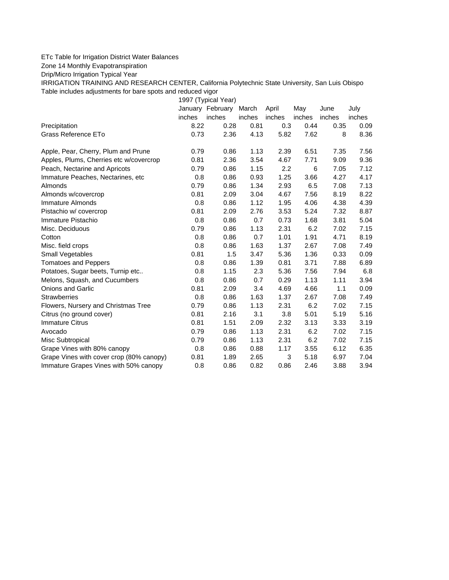## ETc Table for Irrigation District Water Balances

Zone 14 Monthly Evapotranspiration

Drip/Micro Irrigation Typical Year

IRRIGATION TRAINING AND RESEARCH CENTER, California Polytechnic State University, San Luis Obispo Table includes adjustments for bare spots and reduced vigor

1997 (Typical Year)

|                                          |        | January February | March  | April  | May    | June   | July   |
|------------------------------------------|--------|------------------|--------|--------|--------|--------|--------|
|                                          | inches | inches           | inches | inches | inches | inches | inches |
| Precipitation                            | 8.22   | 0.28             | 0.81   | 0.3    | 0.44   | 0.35   | 0.09   |
| <b>Grass Reference ETo</b>               | 0.73   | 2.36             | 4.13   | 5.82   | 7.62   | 8      | 8.36   |
| Apple, Pear, Cherry, Plum and Prune      | 0.79   | 0.86             | 1.13   | 2.39   | 6.51   | 7.35   | 7.56   |
| Apples, Plums, Cherries etc w/covercrop  | 0.81   | 2.36             | 3.54   | 4.67   | 7.71   | 9.09   | 9.36   |
| Peach, Nectarine and Apricots            | 0.79   | 0.86             | 1.15   | 2.2    | 6      | 7.05   | 7.12   |
| Immature Peaches, Nectarines, etc        | 0.8    | 0.86             | 0.93   | 1.25   | 3.66   | 4.27   | 4.17   |
| Almonds                                  | 0.79   | 0.86             | 1.34   | 2.93   | 6.5    | 7.08   | 7.13   |
| Almonds w/covercrop                      | 0.81   | 2.09             | 3.04   | 4.67   | 7.56   | 8.19   | 8.22   |
| Immature Almonds                         | 0.8    | 0.86             | 1.12   | 1.95   | 4.06   | 4.38   | 4.39   |
| Pistachio w/ covercrop                   | 0.81   | 2.09             | 2.76   | 3.53   | 5.24   | 7.32   | 8.87   |
| Immature Pistachio                       | 0.8    | 0.86             | 0.7    | 0.73   | 1.68   | 3.81   | 5.04   |
| Misc. Deciduous                          | 0.79   | 0.86             | 1.13   | 2.31   | 6.2    | 7.02   | 7.15   |
| Cotton                                   | 0.8    | 0.86             | 0.7    | 1.01   | 1.91   | 4.71   | 8.19   |
| Misc. field crops                        | 0.8    | 0.86             | 1.63   | 1.37   | 2.67   | 7.08   | 7.49   |
| Small Vegetables                         | 0.81   | 1.5              | 3.47   | 5.36   | 1.36   | 0.33   | 0.09   |
| <b>Tomatoes and Peppers</b>              | 0.8    | 0.86             | 1.39   | 0.81   | 3.71   | 7.88   | 6.89   |
| Potatoes, Sugar beets, Turnip etc        | 0.8    | 1.15             | 2.3    | 5.36   | 7.56   | 7.94   | 6.8    |
| Melons, Squash, and Cucumbers            | 0.8    | 0.86             | 0.7    | 0.29   | 1.13   | 1.11   | 3.94   |
| <b>Onions and Garlic</b>                 | 0.81   | 2.09             | 3.4    | 4.69   | 4.66   | 1.1    | 0.09   |
| <b>Strawberries</b>                      | 0.8    | 0.86             | 1.63   | 1.37   | 2.67   | 7.08   | 7.49   |
| Flowers, Nursery and Christmas Tree      | 0.79   | 0.86             | 1.13   | 2.31   | 6.2    | 7.02   | 7.15   |
| Citrus (no ground cover)                 | 0.81   | 2.16             | 3.1    | 3.8    | 5.01   | 5.19   | 5.16   |
| <b>Immature Citrus</b>                   | 0.81   | 1.51             | 2.09   | 2.32   | 3.13   | 3.33   | 3.19   |
| Avocado                                  | 0.79   | 0.86             | 1.13   | 2.31   | 6.2    | 7.02   | 7.15   |
| Misc Subtropical                         | 0.79   | 0.86             | 1.13   | 2.31   | 6.2    | 7.02   | 7.15   |
| Grape Vines with 80% canopy              | 0.8    | 0.86             | 0.88   | 1.17   | 3.55   | 6.12   | 6.35   |
| Grape Vines with cover crop (80% canopy) | 0.81   | 1.89             | 2.65   | 3      | 5.18   | 6.97   | 7.04   |
| Immature Grapes Vines with 50% canopy    | 0.8    | 0.86             | 0.82   | 0.86   | 2.46   | 3.88   | 3.94   |